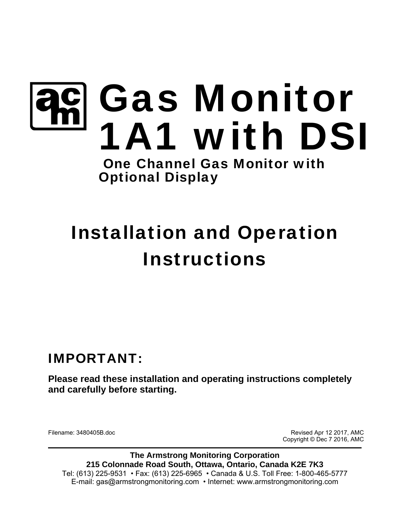

# Installation and Operation Instructions

# IMPORTANT:

**Please read these installation and operating instructions completely and carefully before starting.** 

Filename: 3480405B.doc Revised Apr 12 2017, AMC Copyright © Dec 7 2016, AMC

**The Armstrong Monitoring Corporation 215 Colonnade Road South, Ottawa, Ontario, Canada K2E 7K3**  Tel: (613) 225-9531 • Fax: (613) 225-6965 • Canada & U.S. Toll Free: 1-800-465-5777 E-mail: gas@armstrongmonitoring.com • Internet: www.armstrongmonitoring.com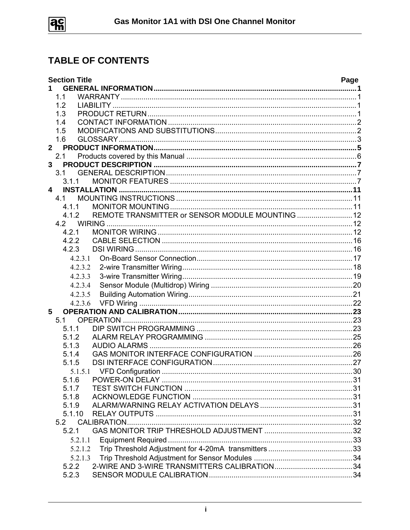

# **TABLE OF CONTENTS**

| <b>Section Title</b> |                                                  | Page |
|----------------------|--------------------------------------------------|------|
|                      |                                                  |      |
| 11                   |                                                  |      |
| 1.2                  |                                                  |      |
| 1.3                  |                                                  |      |
| 1.4                  |                                                  |      |
| 1.5                  |                                                  |      |
| 1.6                  |                                                  |      |
| 2 <sup>1</sup>       |                                                  |      |
| 2.1                  |                                                  |      |
| 3 <sup>1</sup>       |                                                  |      |
| 3.1                  |                                                  |      |
| 3.1.1                |                                                  |      |
| 4                    |                                                  |      |
| 4.1                  |                                                  |      |
| 4.1.1                |                                                  |      |
| 4.1.2                | REMOTE TRANSMITTER or SENSOR MODULE MOUNTING  12 |      |
|                      |                                                  |      |
| 4.2.1                |                                                  |      |
| 4.2.2                |                                                  |      |
| 4.2.3                |                                                  |      |
| 4.2.3.1              |                                                  |      |
| 4.2.3.2              |                                                  |      |
| 4.2.3.3              |                                                  |      |
| 4.2.3.4              |                                                  |      |
| 4.2.3.5              |                                                  |      |
| 4.2.3.6              |                                                  |      |
| 5                    |                                                  |      |
|                      |                                                  |      |
| 5.1.1                |                                                  |      |
| 5.1.2                |                                                  |      |
| 5.1.3                |                                                  |      |
| 5.1.4                |                                                  |      |
| 5.1.5                |                                                  |      |
| 5.1.5.1              |                                                  |      |
| 5.1.6                |                                                  |      |
| 5.1.7                |                                                  |      |
| 5.1.8                |                                                  |      |
| 5.1.9                |                                                  |      |
| 5.1.10               |                                                  |      |
| 5.2                  |                                                  |      |
| 5.2.1                |                                                  |      |
| 5.2.1.1              |                                                  |      |
| 5.2.1.2              |                                                  |      |
| 5.2.1.3              |                                                  |      |
| 5.2.2                |                                                  |      |
| 5.2.3                |                                                  |      |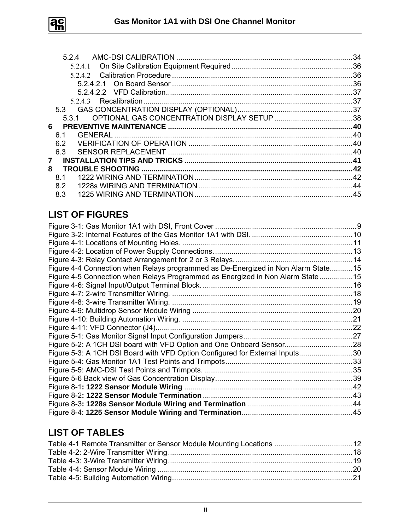

|              | 5.2.4 |         |  | .34 |
|--------------|-------|---------|--|-----|
|              |       | 5.2.4.1 |  |     |
|              |       |         |  |     |
|              |       |         |  |     |
|              |       |         |  |     |
|              |       |         |  |     |
|              |       |         |  |     |
|              |       |         |  |     |
| 6            |       |         |  |     |
|              | 61    |         |  |     |
|              | 6.2   |         |  |     |
|              | 6.3   |         |  |     |
| $\mathbf{7}$ |       |         |  |     |
| 8            |       |         |  |     |
|              | 81    |         |  |     |
|              | 8.2   |         |  |     |
|              | 8.3   |         |  |     |

# **LIST OF FIGURES**

| Figure 4-4 Connection when Relays programmed as De-Energized in Non Alarm State15 |  |
|-----------------------------------------------------------------------------------|--|
| Figure 4-5 Connection when Relays Programmed as Energized in Non Alarm State 15   |  |
|                                                                                   |  |
|                                                                                   |  |
|                                                                                   |  |
|                                                                                   |  |
|                                                                                   |  |
|                                                                                   |  |
|                                                                                   |  |
|                                                                                   |  |
| Figure 5-3: A 1CH DSI Board with VFD Option Configured for External Inputs30      |  |
|                                                                                   |  |
|                                                                                   |  |
|                                                                                   |  |
|                                                                                   |  |
|                                                                                   |  |
|                                                                                   |  |
|                                                                                   |  |
|                                                                                   |  |

# **LIST OF TABLES**

| Table 4-1 Remote Transmitter or Sensor Module Mounting Locations  12 |  |
|----------------------------------------------------------------------|--|
|                                                                      |  |
|                                                                      |  |
|                                                                      |  |
|                                                                      |  |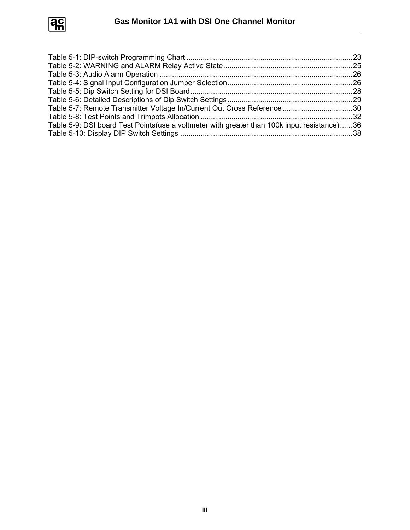

| Table 5-7: Remote Transmitter Voltage In/Current Out Cross Reference 30                      |  |
|----------------------------------------------------------------------------------------------|--|
|                                                                                              |  |
| Table 5-9: DSI board Test Points (use a voltmeter with greater than 100k input resistance)36 |  |
|                                                                                              |  |
|                                                                                              |  |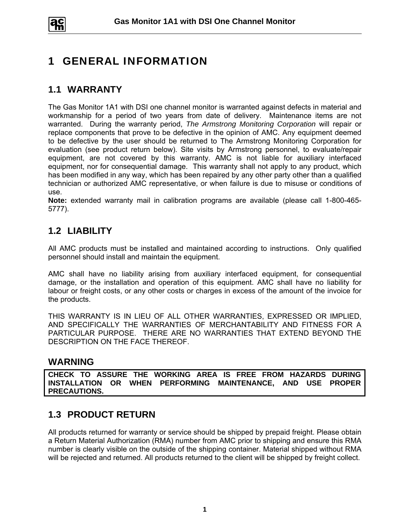

# 1 GENERAL INFORMATION

# **1.1 WARRANTY**

The Gas Monitor 1A1 with DSI one channel monitor is warranted against defects in material and workmanship for a period of two years from date of delivery. Maintenance items are not warranted. During the warranty period, *The Armstrong Monitoring Corporation* will repair or replace components that prove to be defective in the opinion of AMC. Any equipment deemed to be defective by the user should be returned to The Armstrong Monitoring Corporation for evaluation (see product return below). Site visits by Armstrong personnel, to evaluate/repair equipment, are not covered by this warranty. AMC is not liable for auxiliary interfaced equipment, nor for consequential damage. This warranty shall not apply to any product, which has been modified in any way, which has been repaired by any other party other than a qualified technician or authorized AMC representative, or when failure is due to misuse or conditions of use.

**Note:** extended warranty mail in calibration programs are available (please call 1-800-465- 5777).

# **1.2 LIABILITY**

All AMC products must be installed and maintained according to instructions. Only qualified personnel should install and maintain the equipment.

AMC shall have no liability arising from auxiliary interfaced equipment, for consequential damage, or the installation and operation of this equipment. AMC shall have no liability for labour or freight costs, or any other costs or charges in excess of the amount of the invoice for the products.

THIS WARRANTY IS IN LIEU OF ALL OTHER WARRANTIES, EXPRESSED OR IMPLIED, AND SPECIFICALLY THE WARRANTIES OF MERCHANTABILITY AND FITNESS FOR A PARTICULAR PURPOSE. THERE ARE NO WARRANTIES THAT EXTEND BEYOND THE DESCRIPTION ON THE FACE THEREOF.

# **WARNING**

**CHECK TO ASSURE THE WORKING AREA IS FREE FROM HAZARDS DURING INSTALLATION OR WHEN PERFORMING MAINTENANCE, AND USE PROPER PRECAUTIONS.** 

# **1.3 PRODUCT RETURN**

All products returned for warranty or service should be shipped by prepaid freight. Please obtain a Return Material Authorization (RMA) number from AMC prior to shipping and ensure this RMA number is clearly visible on the outside of the shipping container. Material shipped without RMA will be rejected and returned. All products returned to the client will be shipped by freight collect.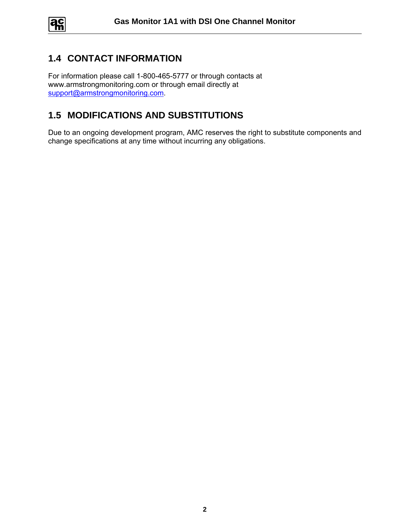

# **1.4 CONTACT INFORMATION**

For information please call 1-800-465-5777 or through contacts at www.armstrongmonitoring.com or through email directly at support@armstrongmonitoring.com.

# **1.5 MODIFICATIONS AND SUBSTITUTIONS**

Due to an ongoing development program, AMC reserves the right to substitute components and change specifications at any time without incurring any obligations.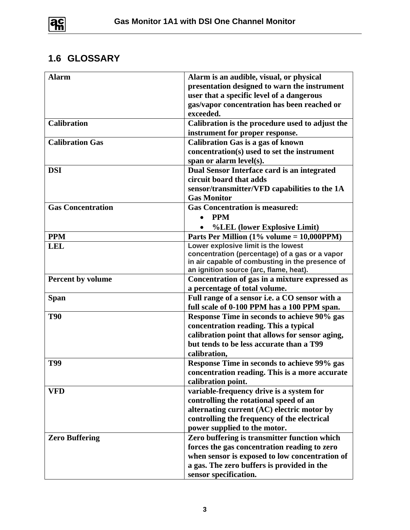# **1.6 GLOSSARY**

| Alarm is an audible, visual, or physical              |
|-------------------------------------------------------|
| presentation designed to warn the instrument          |
| user that a specific level of a dangerous             |
| gas/vapor concentration has been reached or           |
| exceeded.                                             |
| Calibration is the procedure used to adjust the       |
| instrument for proper response.                       |
| <b>Calibration Gas is a gas of known</b>              |
| concentration(s) used to set the instrument           |
| span or alarm level(s).                               |
| Dual Sensor Interface card is an integrated           |
| circuit board that adds                               |
| sensor/transmitter/VFD capabilities to the 1A         |
| <b>Gas Monitor</b>                                    |
| <b>Gas Concentration is measured:</b>                 |
| <b>PPM</b>                                            |
| %LEL (lower Explosive Limit)                          |
| Parts Per Million $(1\% \text{ volume} = 10,000$ PPM) |
| Lower explosive limit is the lowest                   |
| concentration (percentage) of a gas or a vapor        |
| in air capable of combusting in the presence of       |
| an ignition source (arc, flame, heat).                |
| Concentration of gas in a mixture expressed as        |
| a percentage of total volume.                         |
| Full range of a sensor i.e. a CO sensor with a        |
| full scale of 0-100 PPM has a 100 PPM span.           |
| Response Time in seconds to achieve 90% gas           |
| concentration reading. This a typical                 |
| calibration point that allows for sensor aging,       |
| but tends to be less accurate than a T99              |
| calibration,                                          |
| Response Time in seconds to achieve 99% gas           |
| concentration reading. This is a more accurate        |
| calibration point.                                    |
| variable-frequency drive is a system for              |
| controlling the rotational speed of an                |
| alternating current (AC) electric motor by            |
| controlling the frequency of the electrical           |
| power supplied to the motor.                          |
| Zero buffering is transmitter function which          |
| forces the gas concentration reading to zero          |
| when sensor is exposed to low concentration of        |
| a gas. The zero buffers is provided in the            |
|                                                       |
|                                                       |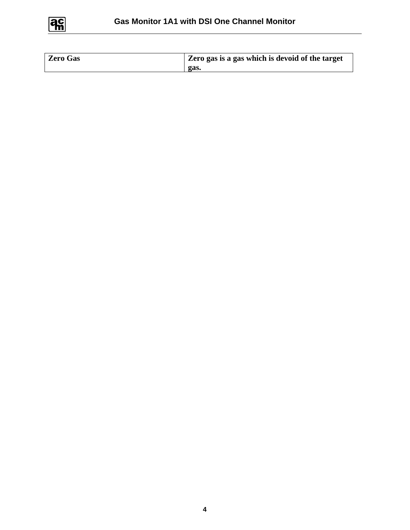

| <b>Zero Gas</b> | <b>Zero gas is a gas which is devoid of the target</b> |
|-----------------|--------------------------------------------------------|
|                 | gas.                                                   |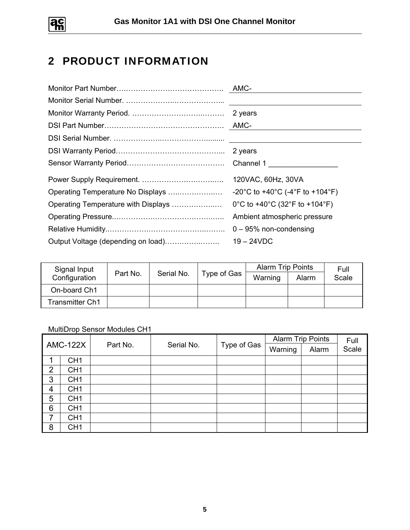

# 2 PRODUCT INFORMATION

|                                     | 2 years                         |
|-------------------------------------|---------------------------------|
|                                     |                                 |
|                                     |                                 |
|                                     | 2 years                         |
|                                     | Channel 1                       |
|                                     | 120VAC, 60Hz, 30VA              |
|                                     | -20°C to +40°C (-4°F to +104°F) |
| Operating Temperature with Displays | 0°C to +40°C (32°F to +104°F)   |
|                                     | Ambient atmospheric pressure    |
|                                     | $0 - 95%$ non-condensing        |
| Output Voltage (depending on load)  | $19 - 24$ VDC                   |

| Signal Input           | Part No. | Serial No. | Type of Gas | <b>Alarm Trip Points</b> |       | Full  |
|------------------------|----------|------------|-------------|--------------------------|-------|-------|
| Configuration          |          |            |             | Warning                  | Alarm | Scale |
| On-board Ch1           |          |            |             |                          |       |       |
| <b>Transmitter Ch1</b> |          |            |             |                          |       |       |

### MultiDrop Sensor Modules CH1

| <b>AMC-122X</b> |                 |          |            |             | <b>Alarm Trip Points</b> |       | Full  |
|-----------------|-----------------|----------|------------|-------------|--------------------------|-------|-------|
|                 |                 | Part No. | Serial No. | Type of Gas | Warning                  | Alarm | Scale |
|                 | CH <sub>1</sub> |          |            |             |                          |       |       |
| 2               | CH <sub>1</sub> |          |            |             |                          |       |       |
| 3               | CH <sub>1</sub> |          |            |             |                          |       |       |
| 4               | CH <sub>1</sub> |          |            |             |                          |       |       |
| 5               | CH <sub>1</sub> |          |            |             |                          |       |       |
| 6               | CH <sub>1</sub> |          |            |             |                          |       |       |
| 7               | CH <sub>1</sub> |          |            |             |                          |       |       |
| 8               | CH <sub>1</sub> |          |            |             |                          |       |       |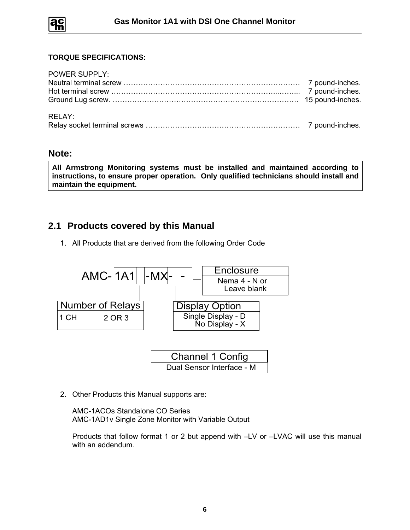

#### **TORQUE SPECIFICATIONS:**

| RELAY:               |  |
|----------------------|--|
|                      |  |
|                      |  |
|                      |  |
| <b>POWER SUPPLY:</b> |  |

#### **Note:**

**All Armstrong Monitoring systems must be installed and maintained according to instructions, to ensure proper operation. Only qualified technicians should install and maintain the equipment.** 

### **2.1 Products covered by this Manual**

1. All Products that are derived from the following Order Code



2. Other Products this Manual supports are:

AMC-1ACOs Standalone CO Series AMC-1AD1v Single Zone Monitor with Variable Output

Products that follow format 1 or 2 but append with –LV or –LVAC will use this manual with an addendum.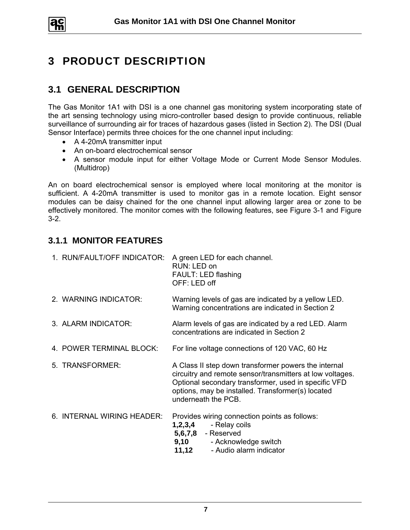

# 3 PRODUCT DESCRIPTION

# **3.1 GENERAL DESCRIPTION**

The Gas Monitor 1A1 with DSI is a one channel gas monitoring system incorporating state of the art sensing technology using micro-controller based design to provide continuous, reliable surveillance of surrounding air for traces of hazardous gases (listed in Section 2). The DSI (Dual Sensor Interface) permits three choices for the one channel input including:

- A 4-20mA transmitter input
- An on-board electrochemical sensor
- A sensor module input for either Voltage Mode or Current Mode Sensor Modules. (Multidrop)

An on board electrochemical sensor is employed where local monitoring at the monitor is sufficient. A 4-20mA transmitter is used to monitor gas in a remote location. Eight sensor modules can be daisy chained for the one channel input allowing larger area or zone to be effectively monitored. The monitor comes with the following features, see Figure 3-1 and Figure 3-2.

# **3.1.1 MONITOR FEATURES**

| 1. RUN/FAULT/OFF INDICATOR: | A green LED for each channel.<br>RUN: LED on<br>FAULT: LED flashing<br>OFF: LED off                                                                                                                                                                   |
|-----------------------------|-------------------------------------------------------------------------------------------------------------------------------------------------------------------------------------------------------------------------------------------------------|
| 2. WARNING INDICATOR:       | Warning levels of gas are indicated by a yellow LED.<br>Warning concentrations are indicated in Section 2                                                                                                                                             |
| 3. ALARM INDICATOR:         | Alarm levels of gas are indicated by a red LED. Alarm<br>concentrations are indicated in Section 2                                                                                                                                                    |
| 4. POWER TERMINAL BLOCK:    | For line voltage connections of 120 VAC, 60 Hz                                                                                                                                                                                                        |
| 5. TRANSFORMER:             | A Class II step down transformer powers the internal<br>circuitry and remote sensor/transmitters at low voltages.<br>Optional secondary transformer, used in specific VFD<br>options, may be installed. Transformer(s) located<br>underneath the PCB. |
| 6. INTERNAL WIRING HEADER:  | Provides wiring connection points as follows:<br>1,2,3,4<br>- Relay coils<br>5,6,7,8 - Reserved<br>9,10 - Acknowledge switch<br>11,12 - Audio alarm indicator                                                                                         |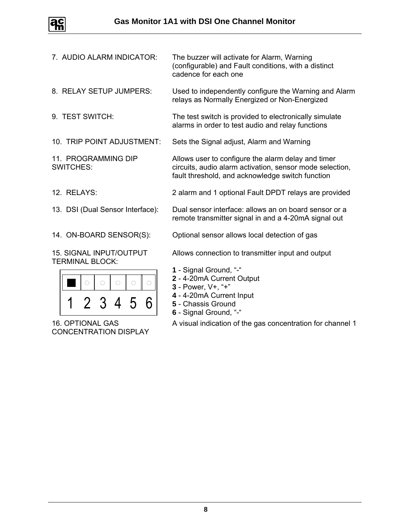

| 7. AUDIO ALARM INDICATOR:                                | The buzzer will activate for Alarm, Warning<br>(configurable) and Fault conditions, with a distinct<br>cadence for each one                                        |
|----------------------------------------------------------|--------------------------------------------------------------------------------------------------------------------------------------------------------------------|
| 8. RELAY SETUP JUMPERS:                                  | Used to independently configure the Warning and Alarm<br>relays as Normally Energized or Non-Energized                                                             |
| 9. TEST SWITCH:                                          | The test switch is provided to electronically simulate<br>alarms in order to test audio and relay functions                                                        |
| 10. TRIP POINT ADJUSTMENT:                               | Sets the Signal adjust, Alarm and Warning                                                                                                                          |
| 11. PROGRAMMING DIP<br><b>SWITCHES:</b>                  | Allows user to configure the alarm delay and timer<br>circuits, audio alarm activation, sensor mode selection,<br>fault threshold, and acknowledge switch function |
| 12. RELAYS:                                              | 2 alarm and 1 optional Fault DPDT relays are provided                                                                                                              |
| 13. DSI (Dual Sensor Interface):                         | Dual sensor interface: allows an on board sensor or a<br>remote transmitter signal in and a 4-20mA signal out                                                      |
| 14. ON-BOARD SENSOR(S):                                  | Optional sensor allows local detection of gas                                                                                                                      |
| <b>15. SIGNAL INPUT/OUTPUT</b><br><b>TERMINAL BLOCK:</b> | Allows connection to transmitter input and output                                                                                                                  |
| $\bigcirc$                                               | 1 - Signal Ground, "-"<br>2 - 4-20mA Current Output                                                                                                                |



16. OPTIONAL GAS CONCENTRATION DISPLAY **3** - Power, V+, "+"

- **4** 4-20mA Current Input
- **5**  Chassis Ground
- **6** Signal Ground, "-"

A visual indication of the gas concentration for channel 1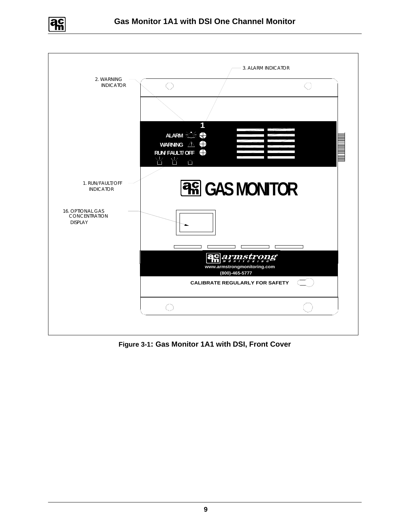



**Figure 3-1: Gas Monitor 1A1 with DSI, Front Cover**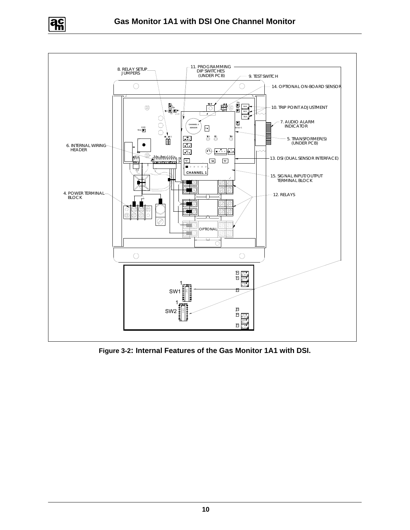



**Figure 3-2: Internal Features of the Gas Monitor 1A1 with DSI.**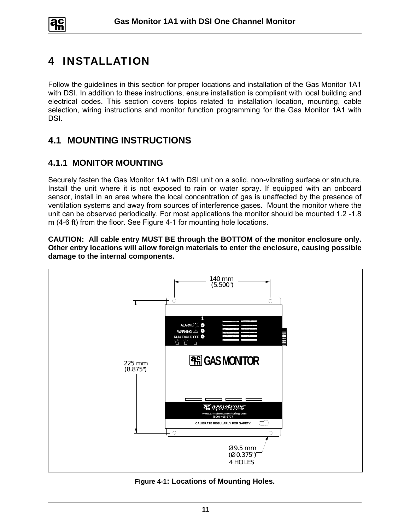

# 4 INSTALLATION

Follow the guidelines in this section for proper locations and installation of the Gas Monitor 1A1 with DSI. In addition to these instructions, ensure installation is compliant with local building and electrical codes. This section covers topics related to installation location, mounting, cable selection, wiring instructions and monitor function programming for the Gas Monitor 1A1 with DSI.

# **4.1 MOUNTING INSTRUCTIONS**

# **4.1.1 MONITOR MOUNTING**

Securely fasten the Gas Monitor 1A1 with DSI unit on a solid, non-vibrating surface or structure. Install the unit where it is not exposed to rain or water spray. If equipped with an onboard sensor, install in an area where the local concentration of gas is unaffected by the presence of ventilation systems and away from sources of interference gases. Mount the monitor where the unit can be observed periodically. For most applications the monitor should be mounted 1.2 -1.8 m (4-6 ft) from the floor. See Figure 4-1 for mounting hole locations.

**CAUTION: All cable entry MUST BE through the BOTTOM of the monitor enclosure only. Other entry locations will allow foreign materials to enter the enclosure, causing possible damage to the internal components.** 



**Figure 4-1: Locations of Mounting Holes.**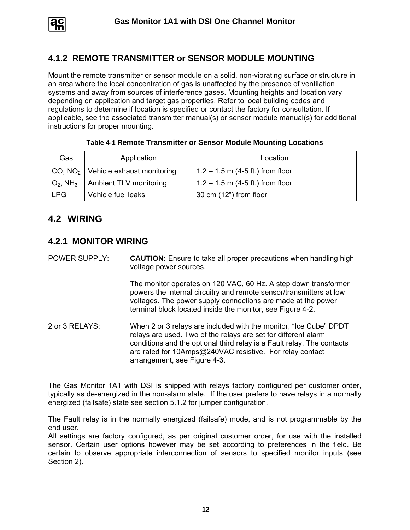# **4.1.2 REMOTE TRANSMITTER or SENSOR MODULE MOUNTING**

Mount the remote transmitter or sensor module on a solid, non-vibrating surface or structure in an area where the local concentration of gas is unaffected by the presence of ventilation systems and away from sources of interference gases. Mounting heights and location vary depending on application and target gas properties. Refer to local building codes and regulations to determine if location is specified or contact the factory for consultation. If applicable, see the associated transmitter manual(s) or sensor module manual(s) for additional instructions for proper mounting.

| Gas                     | Application                             | Location                           |
|-------------------------|-----------------------------------------|------------------------------------|
|                         | $CO$ , $NO2$ Vehicle exhaust monitoring | $1.2 - 1.5$ m (4-5 ft.) from floor |
| $O_2$ , NH <sub>3</sub> | Ambient TLV monitoring                  | $1.2 - 1.5$ m (4-5 ft.) from floor |
| <b>LPG</b>              | Vehicle fuel leaks                      | 30 cm (12") from floor             |

| Table 4-1 Remote Transmitter or Sensor Module Mounting Locations |  |  |  |
|------------------------------------------------------------------|--|--|--|
|                                                                  |  |  |  |

# **4.2 WIRING**

### **4.2.1 MONITOR WIRING**

POWER SUPPLY: **CAUTION:** Ensure to take all proper precautions when handling high voltage power sources.

> The monitor operates on 120 VAC, 60 Hz. A step down transformer powers the internal circuitry and remote sensor/transmitters at low voltages. The power supply connections are made at the power terminal block located inside the monitor, see Figure 4-2.

2 or 3 RELAYS: When 2 or 3 relays are included with the monitor, "Ice Cube" DPDT relays are used. Two of the relays are set for different alarm conditions and the optional third relay is a Fault relay. The contacts are rated for 10Amps@240VAC resistive. For relay contact arrangement, see Figure 4-3.

The Gas Monitor 1A1 with DSI is shipped with relays factory configured per customer order, typically as de-energized in the non-alarm state. If the user prefers to have relays in a normally energized (failsafe) state see section 5.1.2 for jumper configuration.

The Fault relay is in the normally energized (failsafe) mode, and is not programmable by the end user.

All settings are factory configured, as per original customer order, for use with the installed sensor. Certain user options however may be set according to preferences in the field. Be certain to observe appropriate interconnection of sensors to specified monitor inputs (see Section 2).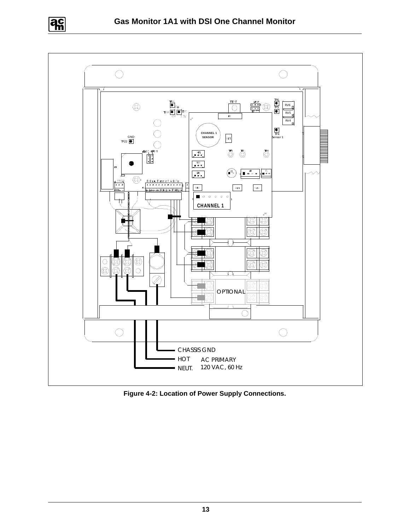



**Figure 4-2: Location of Power Supply Connections.**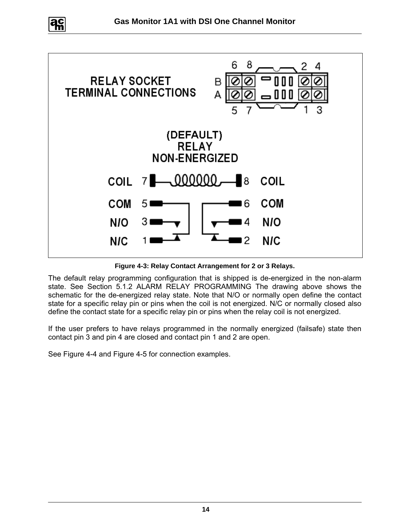



**Figure 4-3: Relay Contact Arrangement for 2 or 3 Relays.** 

The default relay programming configuration that is shipped is de-energized in the non-alarm state. See Section 5.1.2 ALARM RELAY PROGRAMMING The drawing above shows the schematic for the de-energized relay state. Note that N/O or normally open define the contact state for a specific relay pin or pins when the coil is not energized. N/C or normally closed also define the contact state for a specific relay pin or pins when the relay coil is not energized.

If the user prefers to have relays programmed in the normally energized (failsafe) state then contact pin 3 and pin 4 are closed and contact pin 1 and 2 are open.

See Figure 4-4 and Figure 4-5 for connection examples.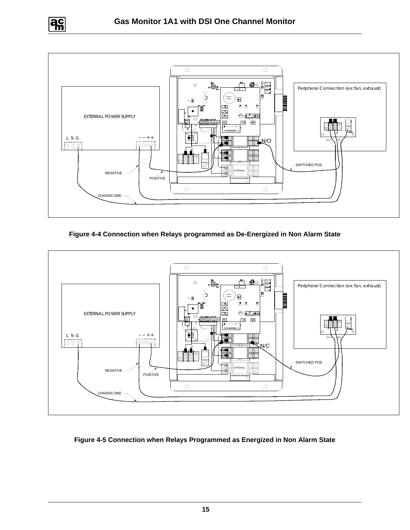

![](_page_19_Figure_2.jpeg)

**Figure 4-4 Connection when Relays programmed as De-Energized in Non Alarm State**

![](_page_19_Figure_4.jpeg)

#### **Figure 4-5 Connection when Relays Programmed as Energized in Non Alarm State**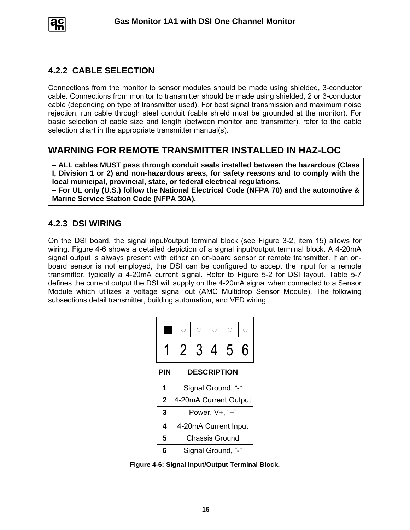![](_page_20_Picture_0.jpeg)

# **4.2.2 CABLE SELECTION**

Connections from the monitor to sensor modules should be made using shielded, 3-conductor cable. Connections from monitor to transmitter should be made using shielded, 2 or 3-conductor cable (depending on type of transmitter used). For best signal transmission and maximum noise rejection, run cable through steel conduit (cable shield must be grounded at the monitor). For basic selection of cable size and length (between monitor and transmitter), refer to the cable selection chart in the appropriate transmitter manual(s).

# **WARNING FOR REMOTE TRANSMITTER INSTALLED IN HAZ-LOC**

**– ALL cables MUST pass through conduit seals installed between the hazardous (Class I, Division 1 or 2) and non-hazardous areas, for safety reasons and to comply with the local municipal, provincial, state, or federal electrical regulations.** 

**– For UL only (U.S.) follow the National Electrical Code (NFPA 70) and the automotive & Marine Service Station Code (NFPA 30A).** 

### **4.2.3 DSI WIRING**

On the DSI board, the signal input/output terminal block (see Figure 3-2, item 15) allows for wiring. Figure 4-6 shows a detailed depiction of a signal input/output terminal block. A 4-20mA signal output is always present with either an on-board sensor or remote transmitter. If an onboard sensor is not employed, the DSI can be configured to accept the input for a remote transmitter, typically a 4-20mA current signal. Refer to Figure 5-2 for DSI layout. Table 5-7 defines the current output the DSI will supply on the 4-20mA signal when connected to a Sensor Module which utilizes a voltage signal out (AMC Multidrop Sensor Module). The following subsections detail transmitter, building automation, and VFD wiring.

![](_page_20_Figure_9.jpeg)

**Figure 4-6: Signal Input/Output Terminal Block.**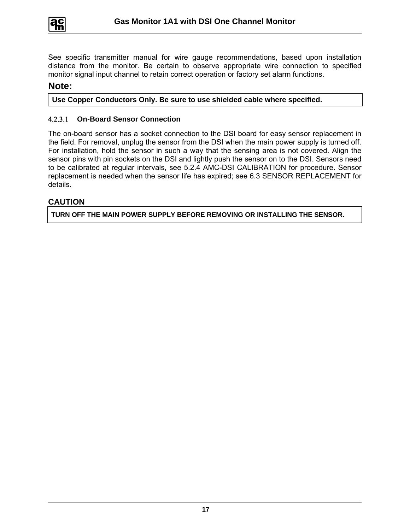![](_page_21_Picture_0.jpeg)

See specific transmitter manual for wire gauge recommendations, based upon installation distance from the monitor. Be certain to observe appropriate wire connection to specified monitor signal input channel to retain correct operation or factory set alarm functions.

#### **Note:**

#### **Use Copper Conductors Only. Be sure to use shielded cable where specified.**

#### **4.2.3.1 On-Board Sensor Connection**

The on-board sensor has a socket connection to the DSI board for easy sensor replacement in the field. For removal, unplug the sensor from the DSI when the main power supply is turned off. For installation, hold the sensor in such a way that the sensing area is not covered. Align the sensor pins with pin sockets on the DSI and lightly push the sensor on to the DSI. Sensors need to be calibrated at regular intervals, see 5.2.4 AMC-DSI CALIBRATION for procedure. Sensor replacement is needed when the sensor life has expired; see 6.3 SENSOR REPLACEMENT for details.

#### **CAUTION**

**TURN OFF THE MAIN POWER SUPPLY BEFORE REMOVING OR INSTALLING THE SENSOR.**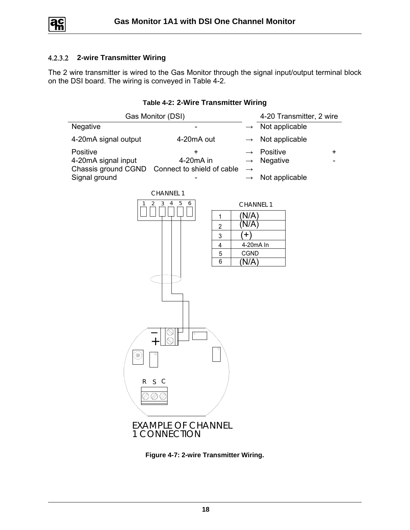#### **2-wire Transmitter Wiring**

The 2 wire transmitter is wired to the Gas Monitor through the signal input/output terminal block on the DSI board. The wiring is conveyed in Table 4-2.

#### **Table 4-2: 2-Wire Transmitter Wiring**

![](_page_22_Figure_5.jpeg)

![](_page_22_Figure_6.jpeg)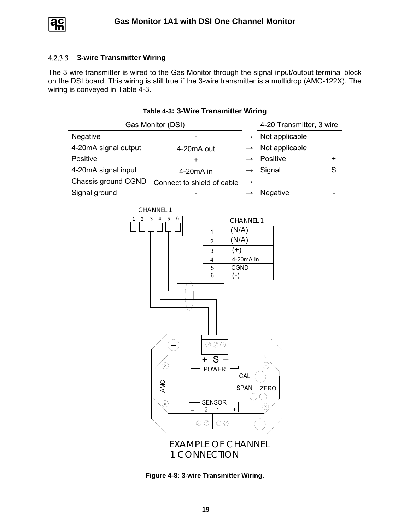#### **3-wire Transmitter Wiring**

The 3 wire transmitter is wired to the Gas Monitor through the signal input/output terminal block on the DSI board. This wiring is still true if the 3-wire transmitter is a multidrop (AMC-122X). The wiring is conveyed in Table 4-3.

![](_page_23_Figure_4.jpeg)

**Figure 4-8: 3-wire Transmitter Wiring.**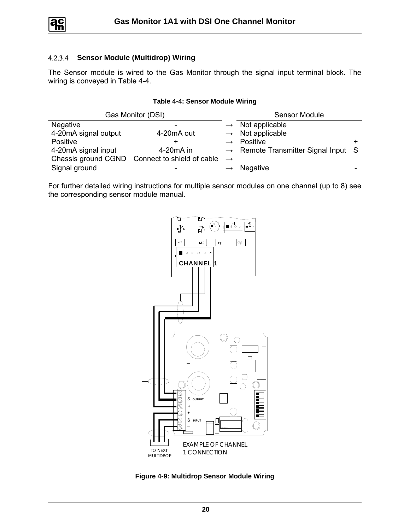![](_page_24_Picture_0.jpeg)

#### **4.2.3.4 Sensor Module (Multidrop) Wiring**

The Sensor module is wired to the Gas Monitor through the signal input terminal block. The wiring is conveyed in Table 4-4.

#### **Table 4-4: Sensor Module Wiring**

| Gas Monitor (DSI)    |                                                |               | Sensor Module                                   |   |
|----------------------|------------------------------------------------|---------------|-------------------------------------------------|---|
| <b>Negative</b>      | -                                              |               | Not applicable                                  |   |
| 4-20mA signal output | 4-20mA out                                     |               | $\rightarrow$ Not applicable                    |   |
| <b>Positive</b>      | ┿                                              |               | Positive                                        |   |
| 4-20mA signal input  | 4-20 <sub>m</sub> A in                         |               | $\rightarrow$ Remote Transmitter Signal Input S |   |
|                      | Chassis ground CGND Connect to shield of cable | $\rightarrow$ |                                                 |   |
| Signal ground        | -                                              |               | <b>Negative</b>                                 | - |

For further detailed wiring instructions for multiple sensor modules on one channel (up to 8) see the corresponding sensor module manual.

![](_page_24_Figure_7.jpeg)

**Figure 4-9: Multidrop Sensor Module Wiring**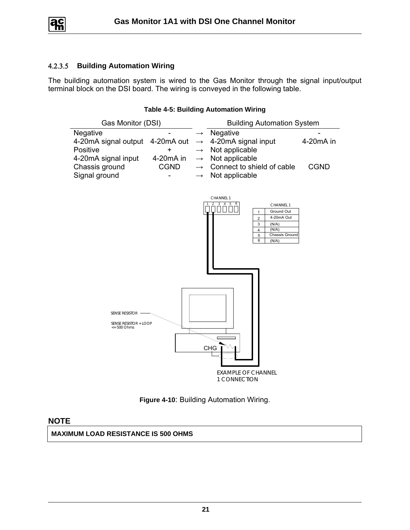![](_page_25_Picture_0.jpeg)

#### **Building Automation Wiring**

The building automation system is wired to the Gas Monitor through the signal input/output terminal block on the DSI board. The wiring is conveyed in the following table.

#### **Table 4-5: Building Automation Wiring**

![](_page_25_Figure_5.jpeg)

**Figure 4-10**: Building Automation Wiring.

#### **NOTE**

**MAXIMUM LOAD RESISTANCE IS 500 OHMS**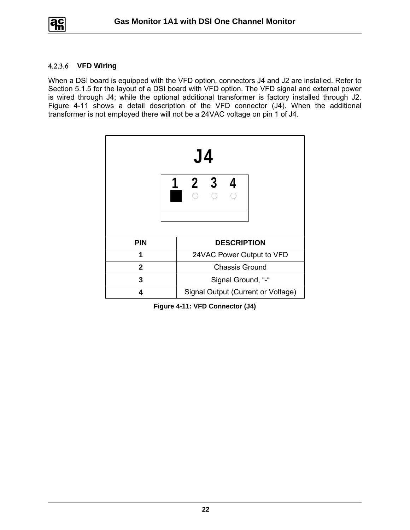![](_page_26_Picture_0.jpeg)

#### **VFD Wiring**

When a DSI board is equipped with the VFD option, connectors J4 and J2 are installed. Refer to Section 5.1.5 for the layout of a DSI board with VFD option. The VFD signal and external power is wired through J4; while the optional additional transformer is factory installed through J2. Figure 4-11 shows a detail description of the VFD connector (J4). When the additional transformer is not employed there will not be a 24VAC voltage on pin 1 of J4.

![](_page_26_Figure_4.jpeg)

**Figure 4-11: VFD Connector (J4)**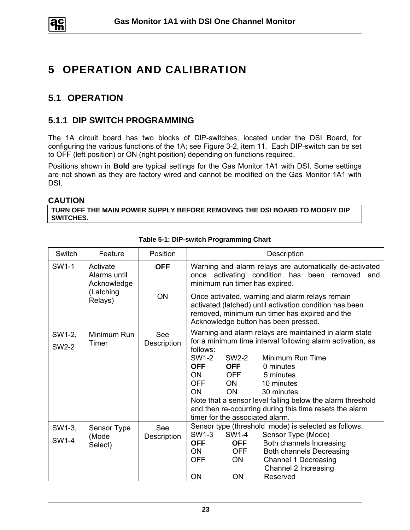![](_page_27_Picture_0.jpeg)

# 5 OPERATION AND CALIBRATION

# **5.1 OPERATION**

### **5.1.1 DIP SWITCH PROGRAMMING**

The 1A circuit board has two blocks of DlP-switches, located under the DSI Board, for configuring the various functions of the 1A; see Figure 3-2, item 11. Each DIP-switch can be set to OFF (left position) or ON (right position) depending on functions required.

Positions shown in **Bold** are typical settings for the Gas Monitor 1A1 with DSI. Some settings are not shown as they are factory wired and cannot be modified on the Gas Monitor 1A1 with DSI.

#### **CAUTION**

#### **TURN OFF THE MAIN POWER SUPPLY BEFORE REMOVING THE DSI BOARD TO MODFIY DIP SWITCHES.**

| Switch       | Feature                                 | Position    | Description                                                                                                                                                                                          |              |                                                                                                                                                |  |
|--------------|-----------------------------------------|-------------|------------------------------------------------------------------------------------------------------------------------------------------------------------------------------------------------------|--------------|------------------------------------------------------------------------------------------------------------------------------------------------|--|
| <b>SW1-1</b> | Activate<br>Alarms until<br>Acknowledge | <b>OFF</b>  |                                                                                                                                                                                                      |              | Warning and alarm relays are automatically de-activated<br>once activating condition has been<br>removed and<br>minimum run timer has expired. |  |
|              | (Latching<br>Relays)                    | ON          | Once activated, warning and alarm relays remain<br>activated (latched) until activation condition has been<br>removed, minimum run timer has expired and the<br>Acknowledge button has been pressed. |              |                                                                                                                                                |  |
| SW1-2,       | Minimum Run                             | See         |                                                                                                                                                                                                      |              | Warning and alarm relays are maintained in alarm state                                                                                         |  |
| <b>SW2-2</b> | Timer                                   | Description | for a minimum time interval following alarm activation, as                                                                                                                                           |              |                                                                                                                                                |  |
|              |                                         |             | follows:<br><b>SW1-2</b>                                                                                                                                                                             | <b>SW2-2</b> | Minimum Run Time                                                                                                                               |  |
|              |                                         |             | <b>OFF</b>                                                                                                                                                                                           | <b>OFF</b>   | 0 minutes                                                                                                                                      |  |
|              |                                         |             | ON.                                                                                                                                                                                                  | <b>OFF</b>   | 5 minutes                                                                                                                                      |  |
|              |                                         |             | <b>OFF</b>                                                                                                                                                                                           | <b>ON</b>    | 10 minutes                                                                                                                                     |  |
|              |                                         |             | <b>ON</b>                                                                                                                                                                                            | <b>ON</b>    | 30 minutes                                                                                                                                     |  |
|              |                                         |             |                                                                                                                                                                                                      |              | Note that a sensor level falling below the alarm threshold                                                                                     |  |
|              |                                         |             | and then re-occurring during this time resets the alarm                                                                                                                                              |              |                                                                                                                                                |  |
|              |                                         |             | timer for the associated alarm.                                                                                                                                                                      |              |                                                                                                                                                |  |
| SW1-3,       | Sensor Type                             | See         |                                                                                                                                                                                                      |              | Sensor type (threshold mode) is selected as follows:                                                                                           |  |
| SW1-4        | (Mode                                   | Description | SW1-3                                                                                                                                                                                                | SW1-4        | Sensor Type (Mode)                                                                                                                             |  |
|              | Select)                                 |             | <b>OFF</b>                                                                                                                                                                                           | <b>OFF</b>   | Both channels Increasing                                                                                                                       |  |
|              |                                         |             | ON                                                                                                                                                                                                   | <b>OFF</b>   | <b>Both channels Decreasing</b>                                                                                                                |  |
|              |                                         |             | <b>OFF</b>                                                                                                                                                                                           | ON           | <b>Channel 1 Decreasing</b>                                                                                                                    |  |
|              |                                         |             |                                                                                                                                                                                                      |              | Channel 2 Increasing                                                                                                                           |  |
|              |                                         |             | ON                                                                                                                                                                                                   | <b>ON</b>    | Reserved                                                                                                                                       |  |

**Table 5-1: DIP-switch Programming Chart**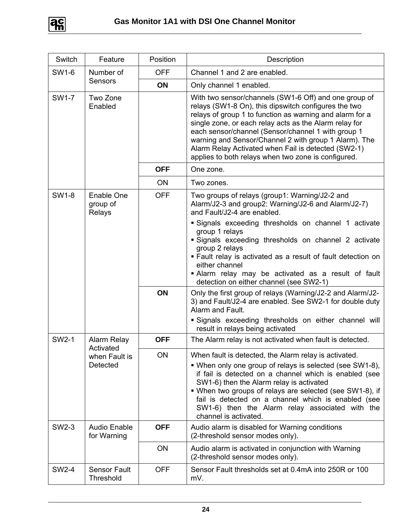![](_page_28_Picture_0.jpeg)

| Switch       | Feature                                 | Position         | Description                                                                                                                                                                                                                                                                                                                                                                                                                                                                                                                                                                                                                |
|--------------|-----------------------------------------|------------------|----------------------------------------------------------------------------------------------------------------------------------------------------------------------------------------------------------------------------------------------------------------------------------------------------------------------------------------------------------------------------------------------------------------------------------------------------------------------------------------------------------------------------------------------------------------------------------------------------------------------------|
| SW1-6        | Number of                               | <b>OFF</b>       | Channel 1 and 2 are enabled.                                                                                                                                                                                                                                                                                                                                                                                                                                                                                                                                                                                               |
|              | Sensors                                 | <b>ON</b>        | Only channel 1 enabled.                                                                                                                                                                                                                                                                                                                                                                                                                                                                                                                                                                                                    |
| <b>SW1-7</b> | Two Zone<br>Enabled                     |                  | With two sensor/channels (SW1-6 Off) and one group of<br>relays (SW1-8 On), this dipswitch configures the two<br>relays of group 1 to function as warning and alarm for a<br>single zone, or each relay acts as the Alarm relay for<br>each sensor/channel (Sensor/channel 1 with group 1<br>warning and Sensor/Channel 2 with group 1 Alarm). The<br>Alarm Relay Activated when Fail is detected (SW2-1)<br>applies to both relays when two zone is configured.                                                                                                                                                           |
|              |                                         | <b>OFF</b>       | One zone.                                                                                                                                                                                                                                                                                                                                                                                                                                                                                                                                                                                                                  |
|              |                                         | <b>ON</b>        | Two zones.                                                                                                                                                                                                                                                                                                                                                                                                                                                                                                                                                                                                                 |
| <b>SW1-8</b> | Enable One<br>group of<br>Relays        | <b>OFF</b><br>ON | Two groups of relays (group1: Warning/J2-2 and<br>Alarm/J2-3 and group2: Warning/J2-6 and Alarm/J2-7)<br>and Fault/J2-4 are enabled.<br>· Signals exceeding thresholds on channel 1 activate<br>group 1 relays<br>· Signals exceeding thresholds on channel 2 activate<br>group 2 relays<br>. Fault relay is activated as a result of fault detection on<br>either channel<br>. Alarm relay may be activated as a result of fault<br>detection on either channel (see SW2-1)<br>Only the first group of relays (Warning/J2-2 and Alarm/J2-<br>3) and Fault/J2-4 are enabled. See SW2-1 for double duty<br>Alarm and Fault. |
|              |                                         |                  | · Signals exceeding thresholds on either channel will<br>result in relays being activated                                                                                                                                                                                                                                                                                                                                                                                                                                                                                                                                  |
| <b>SW2-1</b> | Alarm Relay                             | <b>OFF</b>       | The Alarm relay is not activated when fault is detected.                                                                                                                                                                                                                                                                                                                                                                                                                                                                                                                                                                   |
|              | Activated<br>when Fault is<br>Detected  | <b>ON</b>        | When fault is detected, the Alarm relay is activated.<br>• When only one group of relays is selected (see SW1-8),<br>if fail is detected on a channel which is enabled (see<br>SW1-6) then the Alarm relay is activated<br>• When two groups of relays are selected (see SW1-8), if<br>fail is detected on a channel which is enabled (see<br>SW1-6) then the Alarm relay associated with the<br>channel is activated.                                                                                                                                                                                                     |
| <b>SW2-3</b> | <b>Audio Enable</b><br>for Warning      | <b>OFF</b>       | Audio alarm is disabled for Warning conditions<br>(2-threshold sensor modes only).                                                                                                                                                                                                                                                                                                                                                                                                                                                                                                                                         |
|              |                                         | ON               | Audio alarm is activated in conjunction with Warning<br>(2-threshold sensor modes only).                                                                                                                                                                                                                                                                                                                                                                                                                                                                                                                                   |
| <b>SW2-4</b> | <b>Sensor Fault</b><br><b>Threshold</b> | <b>OFF</b>       | Sensor Fault thresholds set at 0.4mA into 250R or 100<br>mV.                                                                                                                                                                                                                                                                                                                                                                                                                                                                                                                                                               |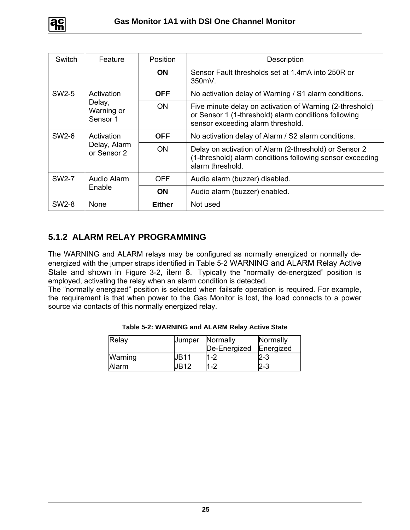![](_page_29_Picture_0.jpeg)

| Switch                                                                        | Feature                          | <b>Position</b> | Description                                                                                                                                           |
|-------------------------------------------------------------------------------|----------------------------------|-----------------|-------------------------------------------------------------------------------------------------------------------------------------------------------|
|                                                                               |                                  | <b>ON</b>       | Sensor Fault thresholds set at 1.4mA into 250R or<br>350mV.                                                                                           |
| <b>SW2-5</b>                                                                  | Activation                       | <b>OFF</b>      | No activation delay of Warning / S1 alarm conditions.                                                                                                 |
|                                                                               | Delay,<br>Warning or<br>Sensor 1 | <b>ON</b>       | Five minute delay on activation of Warning (2-threshold)<br>or Sensor 1 (1-threshold) alarm conditions following<br>sensor exceeding alarm threshold. |
| SW2-6<br>Activation<br><b>OFF</b><br>Delay, Alarm<br><b>ON</b><br>or Sensor 2 |                                  |                 | No activation delay of Alarm / S2 alarm conditions.                                                                                                   |
|                                                                               |                                  |                 | Delay on activation of Alarm (2-threshold) or Sensor 2<br>(1-threshold) alarm conditions following sensor exceeding<br>alarm threshold.               |
| SW <sub>2</sub> -7                                                            | Audio Alarm                      | <b>OFF</b>      | Audio alarm (buzzer) disabled.                                                                                                                        |
| Enable<br><b>ON</b>                                                           |                                  |                 | Audio alarm (buzzer) enabled.                                                                                                                         |
| SW2-8                                                                         | None                             | <b>Either</b>   | Not used                                                                                                                                              |

# **5.1.2 ALARM RELAY PROGRAMMING**

The WARNING and ALARM relays may be configured as normally energized or normally deenergized with the jumper straps identified in Table 5-2 WARNING and ALARM Relay Active State and shown in Figure 3-2, item 8. Typically the "normally de-energized" position is employed, activating the relay when an alarm condition is detected.

The "normally energized" position is selected when failsafe operation is required. For example, the requirement is that when power to the Gas Monitor is lost, the load connects to a power source via contacts of this normally energized relay.

| Relay   | Jumper Normally | De-Energized | Normally<br>Energized |
|---------|-----------------|--------------|-----------------------|
| Warning | <b>JB11</b>     | $1 - 2$      | $2 - 3$               |
| Alarm   | <b>JB12</b>     | $1 - 2$      | $2 - 3$               |

**Table 5-2: WARNING and ALARM Relay Active State**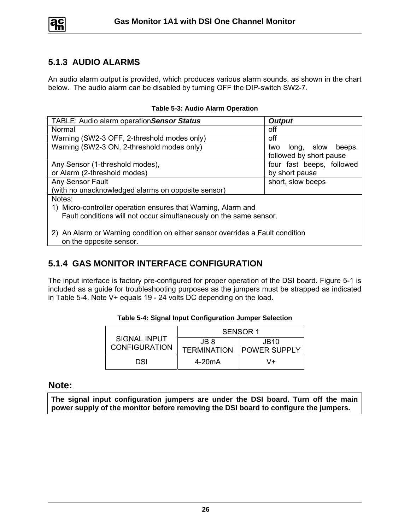![](_page_30_Picture_0.jpeg)

### **5.1.3 AUDIO ALARMS**

An audio alarm output is provided, which produces various alarm sounds, as shown in the chart below. The audio alarm can be disabled by turning OFF the DIP-switch SW2-7.

| TABLE: Audio alarm operation Sensor Status                                                               | <b>Output</b>               |  |  |  |
|----------------------------------------------------------------------------------------------------------|-----------------------------|--|--|--|
| Normal                                                                                                   | off                         |  |  |  |
| Warning (SW2-3 OFF, 2-threshold modes only)                                                              | off                         |  |  |  |
| Warning (SW2-3 ON, 2-threshold modes only)                                                               | long, slow<br>beeps.<br>two |  |  |  |
|                                                                                                          | followed by short pause     |  |  |  |
| Any Sensor (1-threshold modes),                                                                          | four fast beeps, followed   |  |  |  |
| or Alarm (2-threshold modes)                                                                             | by short pause              |  |  |  |
| Any Sensor Fault                                                                                         | short, slow beeps           |  |  |  |
| (with no unacknowledged alarms on opposite sensor)                                                       |                             |  |  |  |
| Notes:                                                                                                   |                             |  |  |  |
| 1) Micro-controller operation ensures that Warning, Alarm and                                            |                             |  |  |  |
| Fault conditions will not occur simultaneously on the same sensor.                                       |                             |  |  |  |
| 2) An Alarm or Warning condition on either sensor overrides a Fault condition<br>on the opposite sensor. |                             |  |  |  |

#### **Table 5-3: Audio Alarm Operation**

### **5.1.4 GAS MONITOR INTERFACE CONFIGURATION**

The input interface is factory pre-configured for proper operation of the DSI board. Figure 5-1 is included as a guide for troubleshooting purposes as the jumpers must be strapped as indicated in Table 5-4. Note V+ equals 19 - 24 volts DC depending on the load.

|                                      | SENSOR 1                   |                             |  |
|--------------------------------------|----------------------------|-----------------------------|--|
| SIGNAL INPUT<br><b>CONFIGURATION</b> | JB 8<br><b>TERMINATION</b> | JB10<br><b>POWER SUPPLY</b> |  |
| D.SI                                 | $4-20mA$                   | V+                          |  |

### **Note:**

**The signal input configuration jumpers are under the DSI board. Turn off the main power supply of the monitor before removing the DSI board to configure the jumpers.**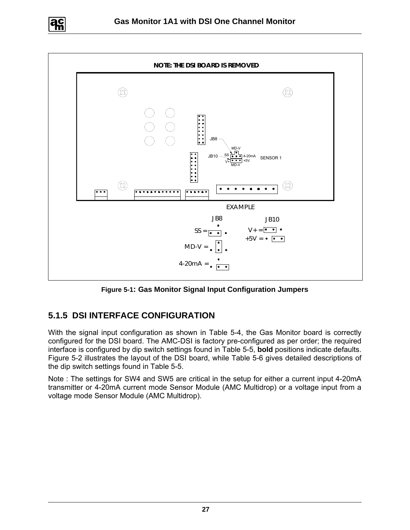![](_page_31_Picture_0.jpeg)

![](_page_31_Figure_2.jpeg)

**Figure 5-1: Gas Monitor Signal Input Configuration Jumpers**

# **5.1.5 DSI INTERFACE CONFIGURATION**

With the signal input configuration as shown in Table 5-4, the Gas Monitor board is correctly configured for the DSI board. The AMC-DSI is factory pre-configured as per order; the required interface is configured by dip switch settings found in Table 5-5, **bold** positions indicate defaults. Figure 5-2 illustrates the layout of the DSI board, while Table 5-6 gives detailed descriptions of the dip switch settings found in Table 5-5.

Note : The settings for SW4 and SW5 are critical in the setup for either a current input 4-20mA transmitter or 4-20mA current mode Sensor Module (AMC Multidrop) or a voltage input from a voltage mode Sensor Module (AMC Multidrop).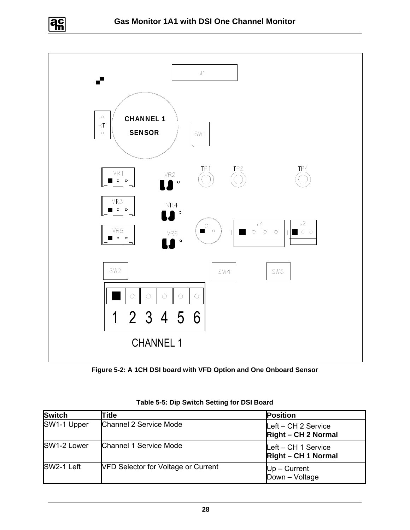![](_page_32_Picture_0.jpeg)

![](_page_32_Figure_2.jpeg)

**Figure 5-2: A 1CH DSI board with VFD Option and One Onboard Sensor** 

| <b>Switch</b> | Title                                      | <b>Position</b>                              |
|---------------|--------------------------------------------|----------------------------------------------|
| SW1-1 Upper   | Channel 2 Service Mode                     | Left $-$ CH 2 Service<br>Right - CH 2 Normal |
| SW1-2 Lower   | Channel 1 Service Mode                     | Left $-$ CH 1 Service<br>Right – CH 1 Normal |
| SW2-1 Left    | <b>NFD Selector for Voltage or Current</b> | $Up$ – Current<br>Down - Voltage             |

**Table 5-5: Dip Switch Setting for DSI Board**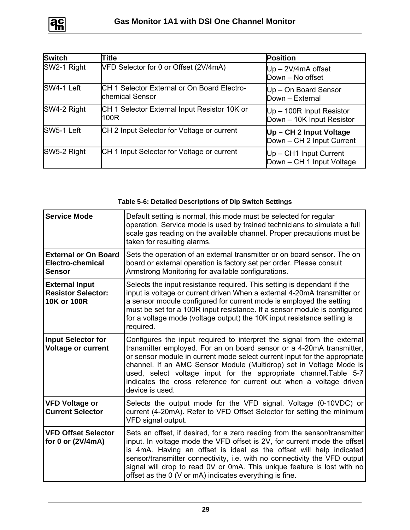![](_page_33_Picture_0.jpeg)

| <b>Switch</b> | Title                                                          | <b>Position</b>                                         |
|---------------|----------------------------------------------------------------|---------------------------------------------------------|
| SW2-1 Right   | VFD Selector for 0 or Offset (2V/4mA)                          | $Up - 2V/4mA$ offset<br>Down - No offset                |
| SW4-1 Left    | CH 1 Selector External or On Board Electro-<br>chemical Sensor | $Up$ – On Board Sensor<br>Down - External               |
| SW4-2 Right   | CH 1 Selector External Input Resistor 10K or<br>100R           | $Up - 100R$ Input Resistor<br>Down - 10K Input Resistor |
| SW5-1 Left    | CH 2 Input Selector for Voltage or current                     | Up - CH 2 Input Voltage<br>Down - CH 2 Input Current    |
| SW5-2 Right   | CH 1 Input Selector for Voltage or current                     | $Up - CH1$ Input Current<br>Down - CH 1 Input Voltage   |

| <b>Service Mode</b>                                               | Default setting is normal, this mode must be selected for regular<br>operation. Service mode is used by trained technicians to simulate a full<br>scale gas reading on the available channel. Proper precautions must be<br>taken for resulting alarms.                                                                                                                                                                                                             |
|-------------------------------------------------------------------|---------------------------------------------------------------------------------------------------------------------------------------------------------------------------------------------------------------------------------------------------------------------------------------------------------------------------------------------------------------------------------------------------------------------------------------------------------------------|
| <b>External or On Board</b><br><b>Electro-chemical</b><br>Sensor  | Sets the operation of an external transmitter or on board sensor. The on<br>board or external operation is factory set per order. Please consult<br>Armstrong Monitoring for available configurations.                                                                                                                                                                                                                                                              |
| <b>External Input</b><br><b>Resistor Selector:</b><br>10K or 100R | Selects the input resistance required. This setting is dependant if the<br>input is voltage or current driven When a external 4-20mA transmitter or<br>a sensor module configured for current mode is employed the setting<br>must be set for a 100R input resistance. If a sensor module is configured<br>for a voltage mode (voltage output) the 10K input resistance setting is<br>required.                                                                     |
| <b>Input Selector for</b><br><b>Voltage or current</b>            | Configures the input required to interpret the signal from the external<br>transmitter employed. For an on board sensor or a 4-20mA transmitter,<br>or sensor module in current mode select current input for the appropriate<br>channel. If an AMC Sensor Module (Multidrop) set in Voltage Mode is<br>used, select voltage input for the appropriate channel. Table 5-7<br>indicates the cross reference for current out when a voltage driven<br>device is used. |
| <b>VFD Voltage or</b><br><b>Current Selector</b>                  | Selects the output mode for the VFD signal. Voltage (0-10VDC) or<br>current (4-20mA). Refer to VFD Offset Selector for setting the minimum<br>VFD signal output.                                                                                                                                                                                                                                                                                                    |
| <b>VFD Offset Selector</b><br>for 0 or (2V/4mA)                   | Sets an offset, if desired, for a zero reading from the sensor/transmitter<br>input. In voltage mode the VFD offset is 2V, for current mode the offset<br>is 4mA. Having an offset is ideal as the offset will help indicated<br>sensor/transmitter connectivity, i.e. with no connectivity the VFD output<br>signal will drop to read OV or 0mA. This unique feature is lost with no<br>offset as the 0 (V or mA) indicates everything is fine.                    |

#### **Table 5-6: Detailed Descriptions of Dip Switch Settings**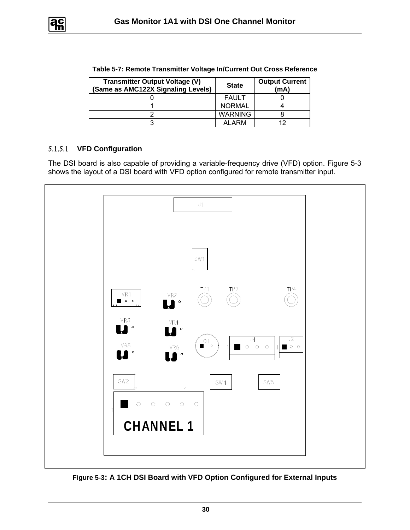| <b>Transmitter Output Voltage (V)</b><br>(Same as AMC122X Signaling Levels) | <b>State</b>   | <b>Output Current</b><br>(mA) |
|-----------------------------------------------------------------------------|----------------|-------------------------------|
|                                                                             | <b>FAULT</b>   |                               |
|                                                                             | <b>NORMAL</b>  |                               |
|                                                                             | <b>WARNING</b> |                               |
|                                                                             | AI ARM         |                               |

| Table 5-7: Remote Transmitter Voltage In/Current Out Cross Reference |
|----------------------------------------------------------------------|
|----------------------------------------------------------------------|

### **VFD Configuration**

The DSI board is also capable of providing a variable-frequency drive (VFD) option. Figure 5-3 shows the layout of a DSI board with VFD option configured for remote transmitter input.

![](_page_34_Figure_6.jpeg)

![](_page_34_Figure_7.jpeg)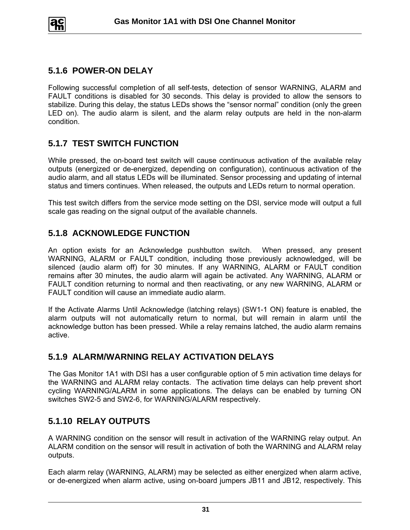![](_page_35_Picture_0.jpeg)

### **5.1.6 POWER-ON DELAY**

Following successful completion of all self-tests, detection of sensor WARNING, ALARM and FAULT conditions is disabled for 30 seconds. This delay is provided to allow the sensors to stabilize. During this delay, the status LEDs shows the "sensor normal" condition (only the green LED on). The audio alarm is silent, and the alarm relay outputs are held in the non-alarm condition.

# **5.1.7 TEST SWITCH FUNCTION**

While pressed, the on-board test switch will cause continuous activation of the available relay outputs (energized or de-energized, depending on configuration), continuous activation of the audio alarm, and all status LEDs will be illuminated. Sensor processing and updating of internal status and timers continues. When released, the outputs and LEDs return to normal operation.

This test switch differs from the service mode setting on the DSI, service mode will output a full scale gas reading on the signal output of the available channels.

# **5.1.8 ACKNOWLEDGE FUNCTION**

An option exists for an Acknowledge pushbutton switch. When pressed, any present WARNING, ALARM or FAULT condition, including those previously acknowledged, will be silenced (audio alarm off) for 30 minutes. If any WARNING, ALARM or FAULT condition remains after 30 minutes, the audio alarm will again be activated. Any WARNING, ALARM or FAULT condition returning to normal and then reactivating, or any new WARNING, ALARM or FAULT condition will cause an immediate audio alarm.

If the Activate Alarms Until Acknowledge (latching relays) (SW1-1 ON) feature is enabled, the alarm outputs will not automatically return to normal, but will remain in alarm until the acknowledge button has been pressed. While a relay remains latched, the audio alarm remains active.

# **5.1.9 ALARM/WARNING RELAY ACTIVATION DELAYS**

The Gas Monitor 1A1 with DSI has a user configurable option of 5 min activation time delays for the WARNING and ALARM relay contacts. The activation time delays can help prevent short cycling WARNING/ALARM in some applications. The delays can be enabled by turning ON switches SW2-5 and SW2-6, for WARNING/ALARM respectively.

# **5.1.10 RELAY OUTPUTS**

A WARNING condition on the sensor will result in activation of the WARNING relay output. An ALARM condition on the sensor will result in activation of both the WARNING and ALARM relay outputs.

Each alarm relay (WARNING, ALARM) may be selected as either energized when alarm active, or de-energized when alarm active, using on-board jumpers JB11 and JB12, respectively. This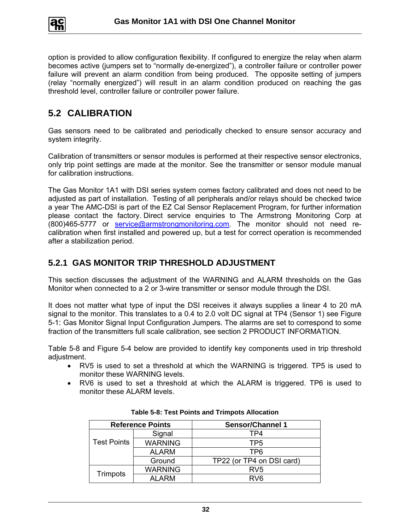![](_page_36_Picture_0.jpeg)

option is provided to allow configuration flexibility. If configured to energize the relay when alarm becomes active (jumpers set to "normally de-energized"), a controller failure or controller power failure will prevent an alarm condition from being produced. The opposite setting of jumpers (relay "normally energized") will result in an alarm condition produced on reaching the gas threshold level, controller failure or controller power failure.

# **5.2 CALIBRATION**

Gas sensors need to be calibrated and periodically checked to ensure sensor accuracy and system integrity.

Calibration of transmitters or sensor modules is performed at their respective sensor electronics, only trip point settings are made at the monitor. See the transmitter or sensor module manual for calibration instructions.

The Gas Monitor 1A1 with DSI series system comes factory calibrated and does not need to be adjusted as part of installation. Testing of all peripherals and/or relays should be checked twice a year The AMC-DSI is part of the EZ Cal Sensor Replacement Program, for further information please contact the factory. Direct service enquiries to The Armstrong Monitoring Corp at (800)465-5777 or **service@armstrongmonitoring.com**. The monitor should not need recalibration when first installed and powered up, but a test for correct operation is recommended after a stabilization period.

# **5.2.1 GAS MONITOR TRIP THRESHOLD ADJUSTMENT**

This section discusses the adjustment of the WARNING and ALARM thresholds on the Gas Monitor when connected to a 2 or 3-wire transmitter or sensor module through the DSI.

It does not matter what type of input the DSI receives it always supplies a linear 4 to 20 mA signal to the monitor. This translates to a 0.4 to 2.0 volt DC signal at TP4 (Sensor 1) see Figure 5-1: Gas Monitor Signal Input Configuration Jumpers. The alarms are set to correspond to some fraction of the transmitters full scale calibration, see section 2 PRODUCT INFORMATION.

Table 5-8 and Figure 5-4 below are provided to identify key components used in trip threshold adjustment.

- RV5 is used to set a threshold at which the WARNING is triggered. TP5 is used to monitor these WARNING levels.
- RV6 is used to set a threshold at which the ALARM is triggered. TP6 is used to monitor these ALARM levels.

| <b>Reference Points</b> |                | <b>Sensor/Channel 1</b>   |  |
|-------------------------|----------------|---------------------------|--|
|                         | Signal         | TP4                       |  |
| <b>Test Points</b>      | WARNING        | TP5                       |  |
|                         | <b>ALARM</b>   | TP6                       |  |
|                         | Ground         | TP22 (or TP4 on DSI card) |  |
|                         | <b>WARNING</b> | RV <sub>5</sub>           |  |
| Trimpots                | AI ARM         | RV <sub>6</sub>           |  |

**Table 5-8: Test Points and Trimpots Allocation**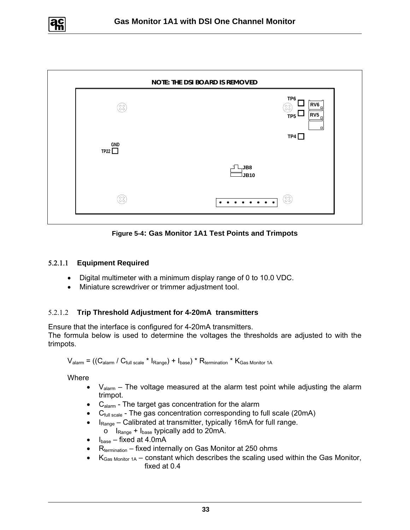![](_page_37_Picture_0.jpeg)

![](_page_37_Figure_2.jpeg)

**Figure 5-4: Gas Monitor 1A1 Test Points and Trimpots**

#### **Equipment Required**

- Digital multimeter with a minimum display range of 0 to 10.0 VDC.
- Miniature screwdriver or trimmer adjustment tool.

#### **Trip Threshold Adjustment for 4-20mA transmitters**

Ensure that the interface is configured for 4-20mA transmitters. The formula below is used to determine the voltages the thresholds are adjusted to with the trimpots.

 $V_{\text{alarm}} = ((C_{\text{alarm}} / C_{\text{full scale}} * I_{\text{Range}}) + I_{\text{base}}) * R_{\text{termination}} * K_{\text{Gas Monitor 1A}})$ 

Where

- $\bullet$  V<sub>alarm</sub> The voltage measured at the alarm test point while adjusting the alarm trimpot.
- Calarm The target gas concentration for the alarm
- C<sub>full scale</sub> The gas concentration corresponding to full scale (20mA)
- I<sub>Range</sub> Calibrated at transmitter, typically 16mA for full range.
- $\circ$  I<sub>Range</sub> + I<sub>base</sub> typically add to 20mA.
- $I<sub>base</sub> fixed at 4.0mA$
- Rtermination fixed internally on Gas Monitor at 250 ohms
- $K_{\text{Gas Monitor 1A}}$  constant which describes the scaling used within the Gas Monitor, fixed at 0.4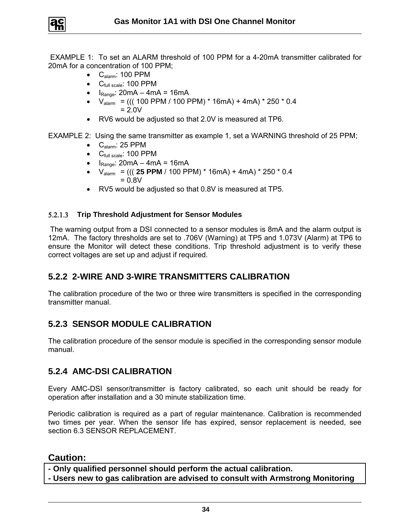![](_page_38_Picture_0.jpeg)

 EXAMPLE 1: To set an ALARM threshold of 100 PPM for a 4-20mA transmitter calibrated for 20mA for a concentration of 100 PPM;

- $\bullet$   $C_{\text{alarm}}$ : 100 PPM
- $\bullet$   $C_{\text{full scale}}$ : 100 PPM
- $I_{\text{Range}}$ : 20mA 4mA = 16mA
- $V_{\text{alarm}}$  = (((100 PPM / 100 PPM) \* 16mA) + 4mA) \* 250 \* 0.4  $= 2.0V$
- RV6 would be adjusted so that 2.0V is measured at TP6.

EXAMPLE 2: Using the same transmitter as example 1, set a WARNING threshold of 25 PPM;

- $\bullet$  C<sub>alarm</sub>: 25 PPM
- $\bullet$   $C_{full scale}$ : 100 PPM
- $\bullet$  I<sub>Range</sub>: 20mA 4mA = 16mA
- Valarm = ((( **25 PPM** / 100 PPM) \* 16mA) + 4mA) \* 250 \* 0.4  $= 0.8V$
- RV5 would be adjusted so that 0.8V is measured at TP5.

### **Trip Threshold Adjustment for Sensor Modules**

 The warning output from a DSI connected to a sensor modules is 8mA and the alarm output is 12mA. The factory thresholds are set to .706V (Warning) at TP5 and 1.073V (Alarm) at TP6 to ensure the Monitor will detect these conditions. Trip threshold adjustment is to verify these correct voltages are set up and adjust if required.

# **5.2.2 2-WIRE AND 3-WIRE TRANSMITTERS CALIBRATION**

The calibration procedure of the two or three wire transmitters is specified in the corresponding transmitter manual.

# **5.2.3 SENSOR MODULE CALIBRATION**

The calibration procedure of the sensor module is specified in the corresponding sensor module manual.

# **5.2.4 AMC-DSI CALIBRATION**

Every AMC-DSI sensor/transmitter is factory calibrated, so each unit should be ready for operation after installation and a 30 minute stabilization time.

Periodic calibration is required as a part of regular maintenance. Calibration is recommended two times per year. When the sensor life has expired, sensor replacement is needed, see section 6.3 SENSOR REPLACEMENT.

# **Caution:**

**- Only qualified personnel should perform the actual calibration.** 

**- Users new to gas calibration are advised to consult with Armstrong Monitoring**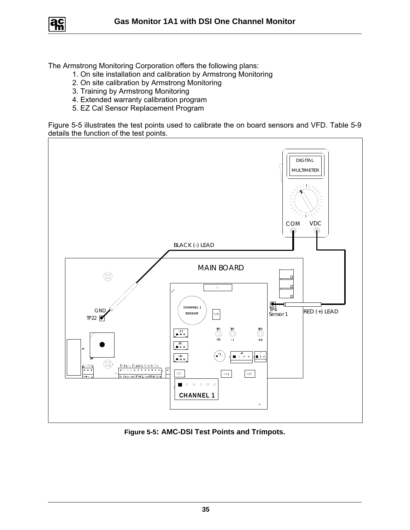![](_page_39_Picture_0.jpeg)

The Armstrong Monitoring Corporation offers the following plans:

- 1. On site installation and calibration by Armstrong Monitoring
- 2. On site calibration by Armstrong Monitoring
- 3. Training by Armstrong Monitoring
- 4. Extended warranty calibration program
- 5. EZ Cal Sensor Replacement Program

Figure 5-5 illustrates the test points used to calibrate the on board sensors and VFD. Table 5-9 details the function of the test points.

![](_page_39_Figure_9.jpeg)

**Figure 5-5: AMC-DSI Test Points and Trimpots.**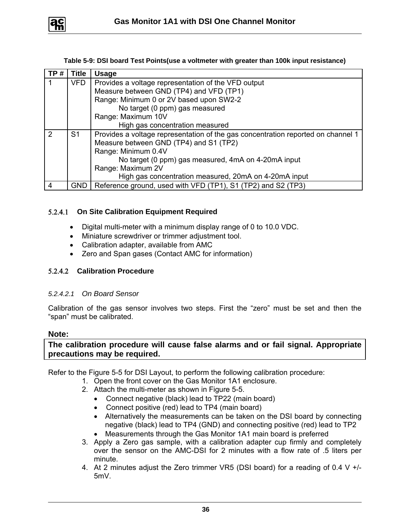![](_page_40_Picture_0.jpeg)

| TP# | Title          | <b>Usage</b>                                                                     |
|-----|----------------|----------------------------------------------------------------------------------|
|     | <b>VFD</b>     | Provides a voltage representation of the VFD output                              |
|     |                | Measure between GND (TP4) and VFD (TP1)                                          |
|     |                | Range: Minimum 0 or 2V based upon SW2-2                                          |
|     |                | No target (0 ppm) gas measured                                                   |
|     |                | Range: Maximum 10V                                                               |
|     |                | High gas concentration measured                                                  |
| 2   | S <sub>1</sub> | Provides a voltage representation of the gas concentration reported on channel 1 |
|     |                | Measure between GND (TP4) and S1 (TP2)                                           |
|     |                | Range: Minimum 0.4V                                                              |
|     |                | No target (0 ppm) gas measured, 4mA on 4-20mA input                              |
|     |                | Range: Maximum 2V                                                                |
|     |                | High gas concentration measured, 20mA on 4-20mA input                            |
|     | <b>GND</b>     | Reference ground, used with VFD (TP1), S1 (TP2) and S2 (TP3)                     |

#### **5.2.4.1 On Site Calibration Equipment Required**

- Digital multi-meter with a minimum display range of 0 to 10.0 VDC.
- Miniature screwdriver or trimmer adjustment tool.
- Calibration adapter, available from AMC
- Zero and Span gases (Contact AMC for information)

#### **Calibration Procedure**

#### *5.2.4.2.1 On Board Sensor*

Calibration of the gas sensor involves two steps. First the "zero" must be set and then the "span" must be calibrated.

#### **Note:**

**The calibration procedure will cause false alarms and or fail signal. Appropriate precautions may be required.** 

Refer to the Figure 5-5 for DSI Layout, to perform the following calibration procedure:

- 1. Open the front cover on the Gas Monitor 1A1 enclosure.
- 2. Attach the multi-meter as shown in Figure 5-5.
	- Connect negative (black) lead to TP22 (main board)
	- Connect positive (red) lead to TP4 (main board)
	- Alternatively the measurements can be taken on the DSI board by connecting negative (black) lead to TP4 (GND) and connecting positive (red) lead to TP2
	- Measurements through the Gas Monitor 1A1 main board is preferred
- 3. Apply a Zero gas sample, with a calibration adapter cup firmly and completely over the sensor on the AMC-DSI for 2 minutes with a flow rate of .5 liters per minute.
- 4. At 2 minutes adjust the Zero trimmer VR5 (DSI board) for a reading of 0.4 V +/- 5mV.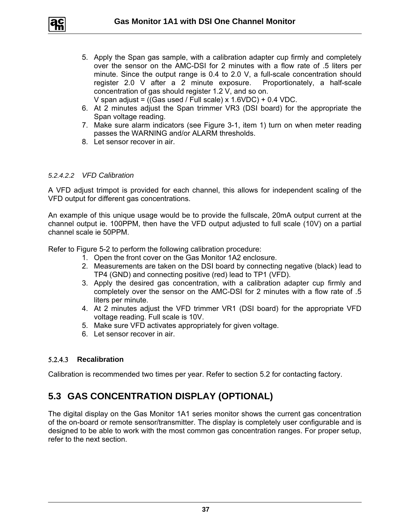![](_page_41_Picture_0.jpeg)

- 5. Apply the Span gas sample, with a calibration adapter cup firmly and completely over the sensor on the AMC-DSI for 2 minutes with a flow rate of .5 liters per minute. Since the output range is 0.4 to 2.0 V, a full-scale concentration should register 2.0 V after a 2 minute exposure. Proportionately, a half-scale concentration of gas should register 1.2 V, and so on.
	- V span adjust =  $((\text{Gas used } / \text{Full scale}) \times 1.6 \text{VDC}) + 0.4 \text{ VDC}.$
- 6. At 2 minutes adjust the Span trimmer VR3 (DSI board) for the appropriate the Span voltage reading.
- 7. Make sure alarm indicators (see Figure 3-1, item 1) turn on when meter reading passes the WARNING and/or ALARM thresholds.
- 8. Let sensor recover in air.

#### *5.2.4.2.2 VFD Calibration*

A VFD adjust trimpot is provided for each channel, this allows for independent scaling of the VFD output for different gas concentrations.

An example of this unique usage would be to provide the fullscale, 20mA output current at the channel output ie. 100PPM, then have the VFD output adjusted to full scale (10V) on a partial channel scale ie 50PPM.

Refer to Figure 5-2 to perform the following calibration procedure:

- 1. Open the front cover on the Gas Monitor 1A2 enclosure.
- 2. Measurements are taken on the DSI board by connecting negative (black) lead to TP4 (GND) and connecting positive (red) lead to TP1 (VFD).
- 3. Apply the desired gas concentration, with a calibration adapter cup firmly and completely over the sensor on the AMC-DSI for 2 minutes with a flow rate of .5 liters per minute.
- 4. At 2 minutes adjust the VFD trimmer VR1 (DSI board) for the appropriate VFD voltage reading. Full scale is 10V.
- 5. Make sure VFD activates appropriately for given voltage.
- 6. Let sensor recover in air.

#### 5.2.4.3 Recalibration

Calibration is recommended two times per year. Refer to section 5.2 for contacting factory.

# **5.3 GAS CONCENTRATION DISPLAY (OPTIONAL)**

The digital display on the Gas Monitor 1A1 series monitor shows the current gas concentration of the on-board or remote sensor/transmitter. The display is completely user configurable and is designed to be able to work with the most common gas concentration ranges. For proper setup, refer to the next section.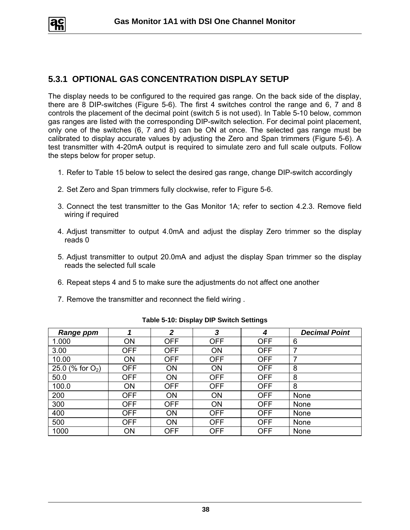![](_page_42_Picture_0.jpeg)

# **5.3.1 OPTIONAL GAS CONCENTRATION DISPLAY SETUP**

The display needs to be configured to the required gas range. On the back side of the display, there are 8 DIP-switches (Figure 5-6). The first 4 switches control the range and 6, 7 and 8 controls the placement of the decimal point (switch 5 is not used). In Table 5-10 below, common gas ranges are listed with the corresponding DIP-switch selection. For decimal point placement, only one of the switches (6, 7 and 8) can be ON at once. The selected gas range must be calibrated to display accurate values by adjusting the Zero and Span trimmers (Figure 5-6). A test transmitter with 4-20mA output is required to simulate zero and full scale outputs. Follow the steps below for proper setup.

- 1. Refer to Table 15 below to select the desired gas range, change DIP-switch accordingly
- 2. Set Zero and Span trimmers fully clockwise, refer to Figure 5-6.
- 3. Connect the test transmitter to the Gas Monitor 1A; refer to section 4.2.3. Remove field wiring if required
- 4. Adjust transmitter to output 4.0mA and adjust the display Zero trimmer so the display reads 0
- 5. Adjust transmitter to output 20.0mA and adjust the display Span trimmer so the display reads the selected full scale
- 6. Repeat steps 4 and 5 to make sure the adjustments do not affect one another
- 7. Remove the transmitter and reconnect the field wiring .

| <b>Range ppm</b>    |            | 2          | 3          | 4          | <b>Decimal Point</b> |
|---------------------|------------|------------|------------|------------|----------------------|
| 1.000               | ON         | <b>OFF</b> | <b>OFF</b> | <b>OFF</b> | 6                    |
| 3.00                | <b>OFF</b> | <b>OFF</b> | ON         | <b>OFF</b> |                      |
| 10.00               | <b>ON</b>  | <b>OFF</b> | <b>OFF</b> | <b>OFF</b> |                      |
| 25.0 (% for $O_2$ ) | <b>OFF</b> | <b>ON</b>  | <b>ON</b>  | <b>OFF</b> | 8                    |
| 50.0                | <b>OFF</b> | <b>ON</b>  | <b>OFF</b> | <b>OFF</b> | 8                    |
| 100.0               | <b>ON</b>  | <b>OFF</b> | <b>OFF</b> | <b>OFF</b> | 8                    |
| 200                 | <b>OFF</b> | ON         | ON         | <b>OFF</b> | None                 |
| 300                 | <b>OFF</b> | <b>OFF</b> | ON         | <b>OFF</b> | None                 |
| 400                 | <b>OFF</b> | 0N         | <b>OFF</b> | <b>OFF</b> | None                 |
| 500                 | <b>OFF</b> | ON         | <b>OFF</b> | <b>OFF</b> | None                 |
| 1000                | ON         | <b>OFF</b> | <b>OFF</b> | <b>OFF</b> | None                 |

**Table 5-10: Display DIP Switch Settings**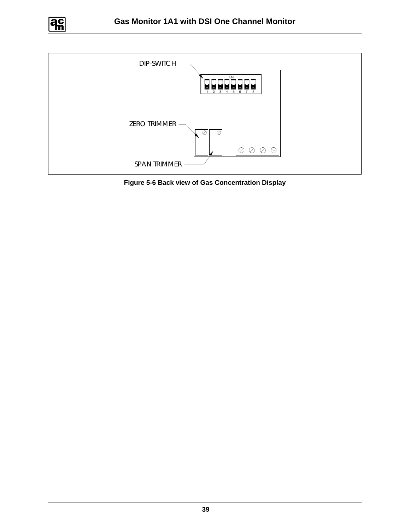![](_page_43_Picture_0.jpeg)

![](_page_43_Figure_2.jpeg)

**Figure 5-6 Back view of Gas Concentration Display**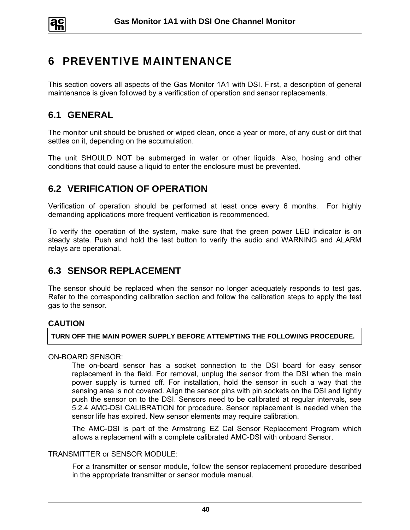![](_page_44_Picture_0.jpeg)

# 6 PREVENTIVE MAINTENANCE

This section covers all aspects of the Gas Monitor 1A1 with DSI. First, a description of general maintenance is given followed by a verification of operation and sensor replacements.

# **6.1 GENERAL**

The monitor unit should be brushed or wiped clean, once a year or more, of any dust or dirt that settles on it, depending on the accumulation.

The unit SHOULD NOT be submerged in water or other liquids. Also, hosing and other conditions that could cause a liquid to enter the enclosure must be prevented.

# **6.2 VERIFICATION OF OPERATION**

Verification of operation should be performed at least once every 6 months. For highly demanding applications more frequent verification is recommended.

To verify the operation of the system, make sure that the green power LED indicator is on steady state. Push and hold the test button to verify the audio and WARNING and ALARM relays are operational.

# **6.3 SENSOR REPLACEMENT**

The sensor should be replaced when the sensor no longer adequately responds to test gas. Refer to the corresponding calibration section and follow the calibration steps to apply the test gas to the sensor.

#### **CAUTION**

**TURN OFF THE MAIN POWER SUPPLY BEFORE ATTEMPTING THE FOLLOWING PROCEDURE.** 

ON-BOARD SENSOR:

The on-board sensor has a socket connection to the DSI board for easy sensor replacement in the field. For removal, unplug the sensor from the DSI when the main power supply is turned off. For installation, hold the sensor in such a way that the sensing area is not covered. Align the sensor pins with pin sockets on the DSI and lightly push the sensor on to the DSI. Sensors need to be calibrated at regular intervals, see 5.2.4 AMC-DSI CALIBRATION for procedure. Sensor replacement is needed when the sensor life has expired. New sensor elements may require calibration.

The AMC-DSI is part of the Armstrong EZ Cal Sensor Replacement Program which allows a replacement with a complete calibrated AMC-DSI with onboard Sensor.

#### TRANSMITTER or SENSOR MODULE:

For a transmitter or sensor module, follow the sensor replacement procedure described in the appropriate transmitter or sensor module manual.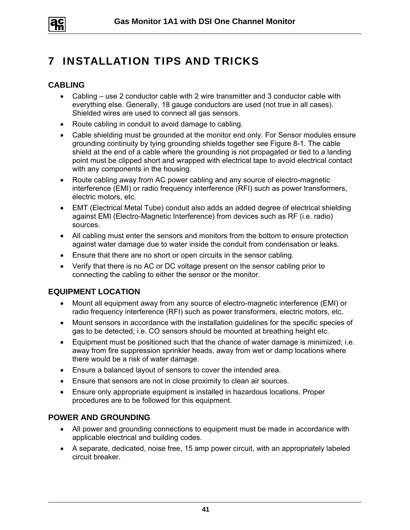![](_page_45_Picture_0.jpeg)

# 7 INSTALLATION TIPS AND TRICKS

### **CABLING**

- Cabling use 2 conductor cable with 2 wire transmitter and 3 conductor cable with everything else. Generally, 18 gauge conductors are used (not true in all cases). Shielded wires are used to connect all gas sensors.
- Route cabling in conduit to avoid damage to cabling.
- Cable shielding must be grounded at the monitor end only. For Sensor modules ensure grounding continuity by tying grounding shields together see Figure 8-1. The cable shield at the end of a cable where the grounding is not propagated or tied to a landing point must be clipped short and wrapped with electrical tape to avoid electrical contact with any components in the housing.
- Route cabling away from AC power cabling and any source of electro-magnetic interference (EMI) or radio frequency interference (RFI) such as power transformers, electric motors, etc.
- EMT (Electrical Metal Tube) conduit also adds an added degree of electrical shielding against EMI (Electro-Magnetic Interference) from devices such as RF (i.e. radio) sources.
- All cabling must enter the sensors and monitors from the bottom to ensure protection against water damage due to water inside the conduit from condensation or leaks.
- Ensure that there are no short or open circuits in the sensor cabling.
- Verify that there is no AC or DC voltage present on the sensor cabling prior to connecting the cabling to either the sensor or the monitor.

### **EQUIPMENT LOCATION**

- Mount all equipment away from any source of electro-magnetic interference (EMI) or radio frequency interference (RFI) such as power transformers, electric motors, etc.
- Mount sensors in accordance with the installation guidelines for the specific species of gas to be detected; i.e. CO sensors should be mounted at breathing height etc.
- Equipment must be positioned such that the chance of water damage is minimized; i.e. away from fire suppression sprinkler heads, away from wet or damp locations where there would be a risk of water damage.
- Ensure a balanced layout of sensors to cover the intended area.
- Ensure that sensors are not in close proximity to clean air sources.
- Ensure only appropriate equipment is installed in hazardous locations. Proper procedures are to be followed for this equipment.

### **POWER AND GROUNDING**

- All power and grounding connections to equipment must be made in accordance with applicable electrical and building codes.
- A separate, dedicated, noise free, 15 amp power circuit, with an appropriately labeled circuit breaker.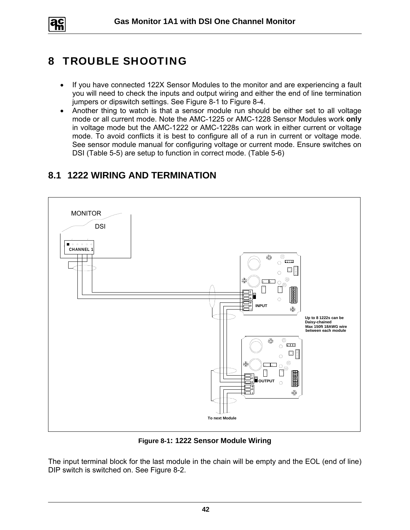![](_page_46_Picture_0.jpeg)

# 8 TROUBLE SHOOTING

- If you have connected 122X Sensor Modules to the monitor and are experiencing a fault you will need to check the inputs and output wiring and either the end of line termination jumpers or dipswitch settings. See Figure 8-1 to Figure 8-4.
- Another thing to watch is that a sensor module run should be either set to all voltage mode or all current mode. Note the AMC-1225 or AMC-1228 Sensor Modules work **only**  in voltage mode but the AMC-1222 or AMC-1228s can work in either current or voltage mode. To avoid conflicts it is best to configure all of a run in current or voltage mode. See sensor module manual for configuring voltage or current mode. Ensure switches on DSI (Table 5-5) are setup to function in correct mode. (Table 5-6)

#### MONITOR DSI CHANNEL 1 ര ⊕  $\circ$   $\Box$  $\boxed{0}$  $\circ$  $\circledcirc$ Ō .ම Ľ ທ  $\circ$ **INPUT** ທ ⊕ **Up to 8 1222s can be Daisy-chained Max 150ft 18AWG wire between each module** ⊕ ര  $\circ$   $\overline{m}$  $\circ$  $\circ$  $\circledcirc$  $\mathbb{E}$  $\circ$  $\mathsf{I}$ **OUTPUT** €₽ **To next Module**

# **8.1 1222 WIRING AND TERMINATION**

**Figure 8-1: 1222 Sensor Module Wiring**

The input terminal block for the last module in the chain will be empty and the EOL (end of line) DIP switch is switched on. See Figure 8-2.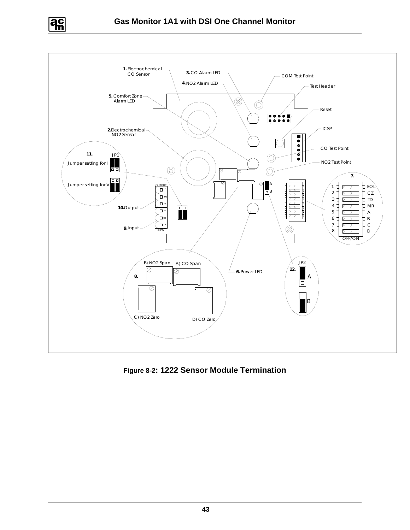![](_page_47_Picture_0.jpeg)

![](_page_47_Figure_2.jpeg)

**Figure 8-2: 1222 Sensor Module Termination**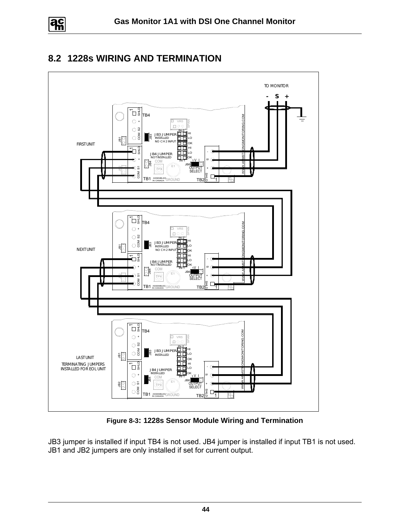![](_page_48_Picture_0.jpeg)

# **8.2 1228s WIRING AND TERMINATION**

![](_page_48_Figure_3.jpeg)

**Figure 8-3: 1228s Sensor Module Wiring and Termination**

JB3 jumper is installed if input TB4 is not used. JB4 jumper is installed if input TB1 is not used. JB1 and JB2 jumpers are only installed if set for current output.